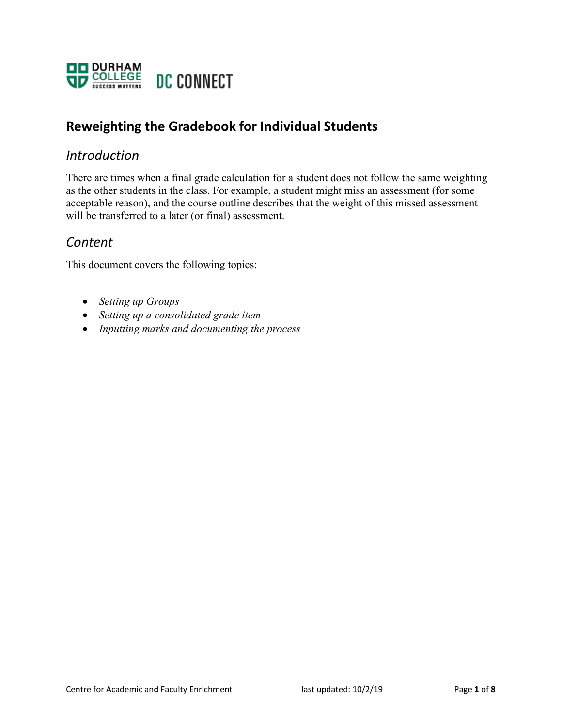

## **Reweighting the Gradebook for Individual Students**

### *Introduction*

There are times when a final grade calculation for a student does not follow the same weighting as the other students in the class. For example, a student might miss an assessment (for some acceptable reason), and the course outline describes that the weight of this missed assessment will be transferred to a later (or final) assessment.

### *Content*

This document covers the following topics:

- *Setting up Groups*
- *Setting up a consolidated grade item*
- *Inputting marks and documenting the process*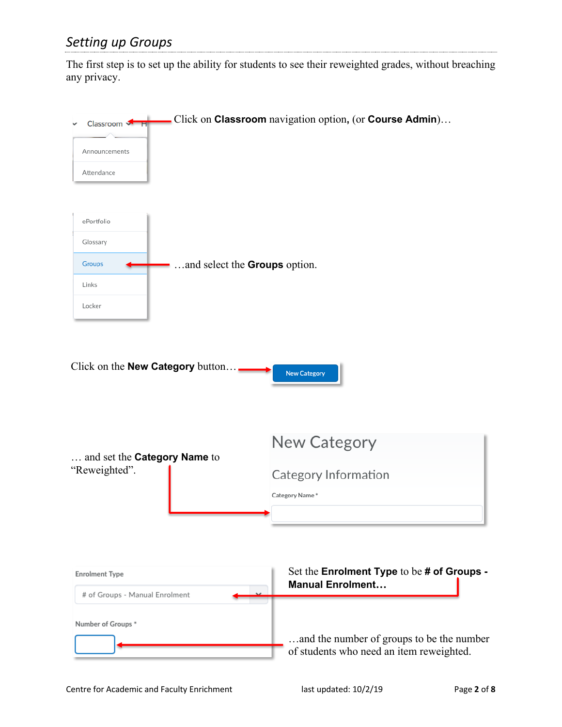# *Setting up Groups*

The first step is to set up the ability for students to see their reweighted grades, without breaching any privacy.

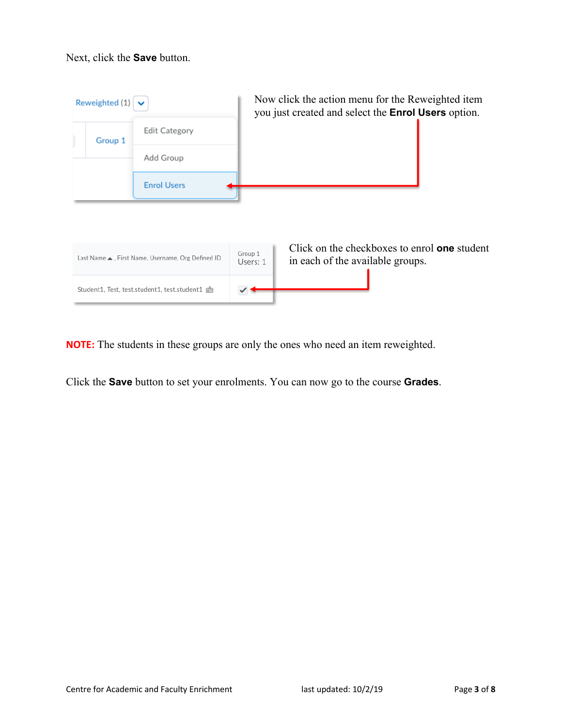#### Next, click the **Save** button.



**NOTE:** The students in these groups are only the ones who need an item reweighted.

Click the **Save** button to set your enrolments. You can now go to the course **Grades**.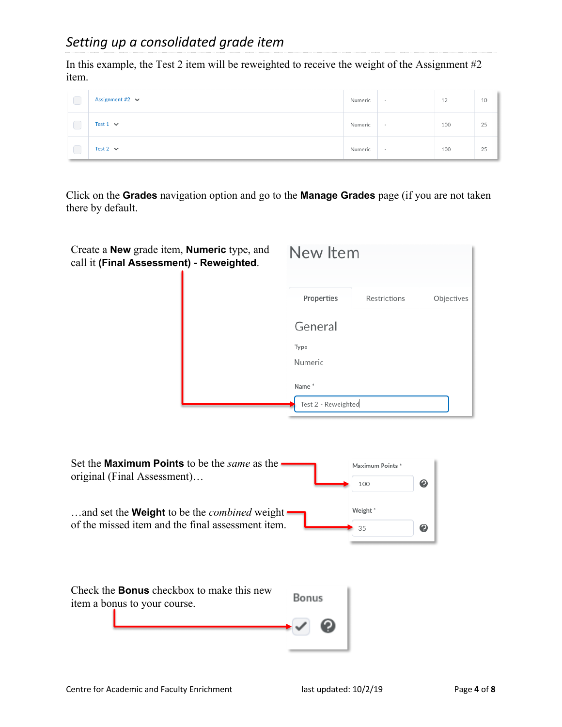In this example, the Test 2 item will be reweighted to receive the weight of the Assignment #2 item.

| ◡ | Assignment #2 $\sim$ | Numeric | $\sim$ | 12  | 10 |
|---|----------------------|---------|--------|-----|----|
| ◡ | Test 1 $\vee$        | Numeric | $\sim$ | 100 | 25 |
|   | Test 2 $\sim$        | Numeric | $\sim$ | 100 | 25 |

Click on the **Grades** navigation option and go to the **Manage Grades** page (if you are not taken there by default.

| Create a <b>New</b> grade item, <b>Numeric</b> type, and<br>call it (Final Assessment) - Reweighted. | New Item            |                         |            |
|------------------------------------------------------------------------------------------------------|---------------------|-------------------------|------------|
|                                                                                                      | Properties          | Restrictions            | Objectives |
|                                                                                                      | General             |                         |            |
|                                                                                                      | Type                |                         |            |
|                                                                                                      | Numeric             |                         |            |
|                                                                                                      | Name*               |                         |            |
|                                                                                                      | Test 2 - Reweighted |                         |            |
| Set the <b>Maximum Points</b> to be the <i>same</i> as the<br>original (Final Assessment)            |                     | Maximum Points *<br>100 | ❷          |
| and set the Weight to be the combined weight<br>of the missed item and the final assessment item.    |                     | Weight*<br>35           | ℯ          |
| Check the <b>Bonus</b> checkbox to make this new<br>item a bonus to your course.                     | Bonus               |                         |            |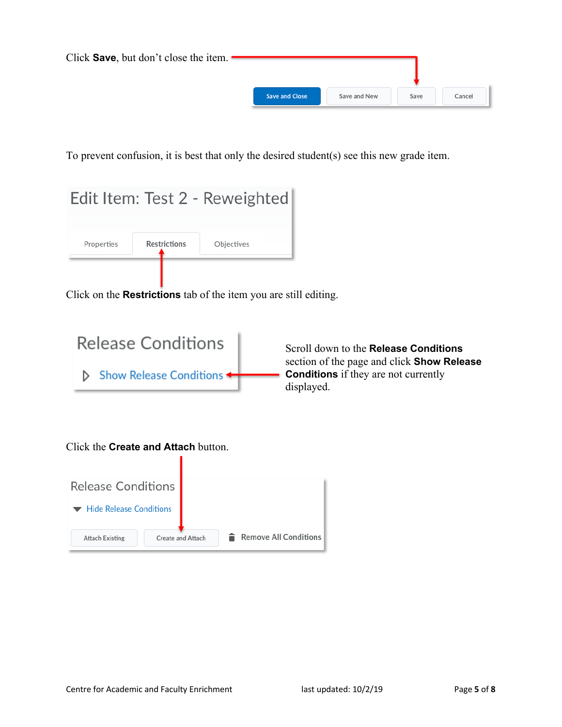| Click Save, but don't close the item. |                       |              |      |        |
|---------------------------------------|-----------------------|--------------|------|--------|
|                                       | <b>Save and Close</b> | Save and New | Save | Cancel |

To prevent confusion, it is best that only the desired student(s) see this new grade item.

|            |                     | Edit Item: Test 2 - Reweighted |  |  |
|------------|---------------------|--------------------------------|--|--|
| Properties | <b>Restrictions</b> | Objectives                     |  |  |
|            |                     |                                |  |  |

Click on the **Restrictions** tab of the item you are still editing.



Scroll down to the **Release Conditions** section of the page and click **Show Release Conditions** if they are not currently displayed.

Click the **Create and Attach** button.

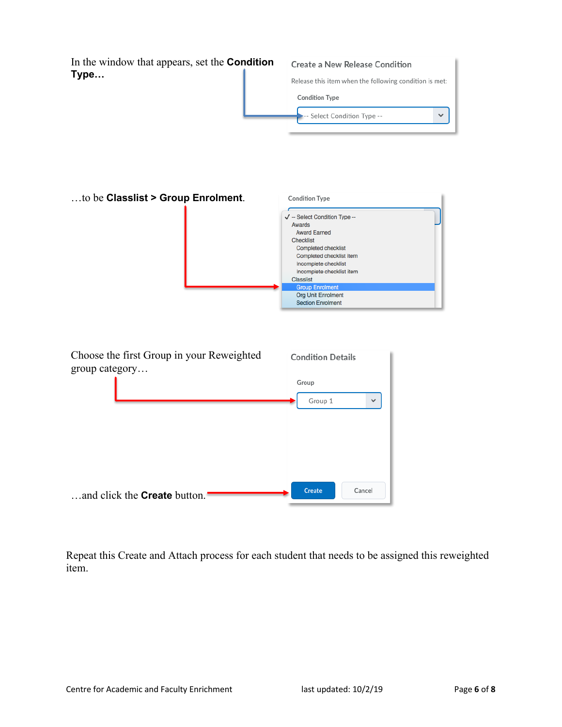| In the window that appears, set the <b>Condition</b><br>Type | Create a New Release Condition<br>Release this item when the following condition is met:<br><b>Condition Type</b>                                                                                                                                                                              |  |  |
|--------------------------------------------------------------|------------------------------------------------------------------------------------------------------------------------------------------------------------------------------------------------------------------------------------------------------------------------------------------------|--|--|
|                                                              |                                                                                                                                                                                                                                                                                                |  |  |
|                                                              |                                                                                                                                                                                                                                                                                                |  |  |
|                                                              | Select Condition Type --<br>v                                                                                                                                                                                                                                                                  |  |  |
| to be Classlist > Group Enrolment.                           | <b>Condition Type</b><br>√ -- Select Condition Type --<br>Awards<br><b>Award Earned</b><br><b>Checklist</b><br>Completed checklist<br>Completed checklist item<br>Incomplete checklist<br>Incomplete checklist item<br><b>Classlist</b><br><b>Group Enrolment</b><br><b>Org Unit Enrolment</b> |  |  |
| Choose the first Group in your Reweighted<br>group category  | <b>Section Enrolment</b><br><b>Condition Details</b><br>Group<br>Group 1<br>$\checkmark$                                                                                                                                                                                                       |  |  |
| and click the <b>Create</b> button.                          | <b>Create</b><br>Cancel                                                                                                                                                                                                                                                                        |  |  |

Repeat this Create and Attach process for each student that needs to be assigned this reweighted item.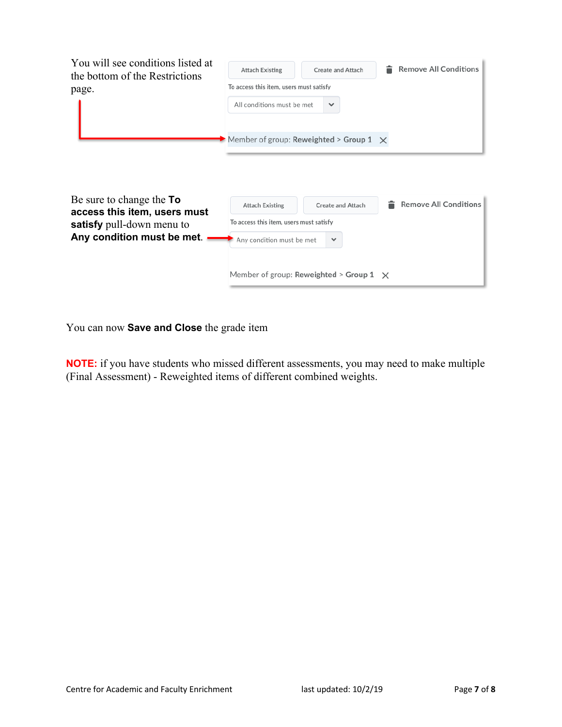| You will see conditions listed at<br>the bottom of the Restrictions<br>page. | <b>Attach Existing</b><br>To access this item, users must satisfy<br>All conditions must be met | <b>Create and Attach</b><br>$\checkmark$       | <b>Remove All Conditions</b> |  |  |
|------------------------------------------------------------------------------|-------------------------------------------------------------------------------------------------|------------------------------------------------|------------------------------|--|--|
|                                                                              | Member of group: Reweighted > Group 1 $\times$                                                  |                                                |                              |  |  |
| Be sure to change the <b>To</b>                                              | <b>Attach Existing</b>                                                                          | <b>Create and Attach</b>                       | <b>Remove All Conditions</b> |  |  |
| access this item, users must<br>satisfy pull-down menu to                    | To access this item, users must satisfy                                                         |                                                |                              |  |  |
| Any condition must be met.                                                   | Any condition must be met                                                                       | $\checkmark$                                   |                              |  |  |
|                                                                              |                                                                                                 | Member of group: Reweighted > Group 1 $\times$ |                              |  |  |

You can now **Save and Close** the grade item

**NOTE:** if you have students who missed different assessments, you may need to make multiple (Final Assessment) - Reweighted items of different combined weights.